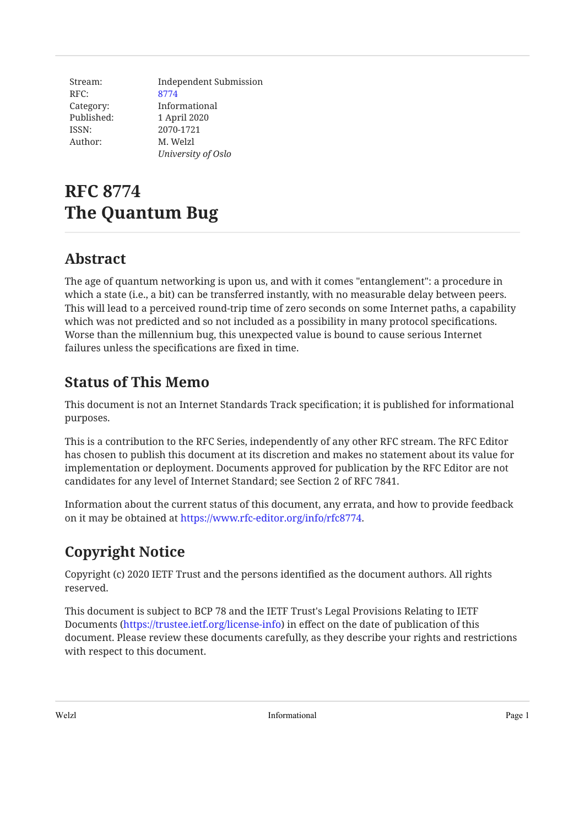| Stream:    | Independent Submission |
|------------|------------------------|
| RFC:       | 8774                   |
| Category:  | Informational          |
| Published: | 1 April 2020           |
| ISSN:      | 2070-1721              |
| Author:    | M. Welzl               |
|            | University of Oslo     |

# **RFC 8774 The Quantum Bug**

## <span id="page-0-0"></span>**[Abstract](#page-0-0)**

The age of quantum networking is upon us, and with it comes "entanglement": a procedure in which a state (i.e., a bit) can be transferred instantly, with no measurable delay between peers. This will lead to a perceived round-trip time of zero seconds on some Internet paths, a capability which was not predicted and so not included as a possibility in many protocol specifications. Worse than the millennium bug, this unexpected value is bound to cause serious Internet failures unless the specifications are fixed in time.

## <span id="page-0-1"></span>**[Status of This Memo](#page-0-1)**

This document is not an Internet Standards Track specification; it is published for informational purposes.

This is a contribution to the RFC Series, independently of any other RFC stream. The RFC Editor has chosen to publish this document at its discretion and makes no statement about its value for implementation or deployment. Documents approved for publication by the RFC Editor are not candidates for any level of Internet Standard; see Section 2 of RFC 7841.

Information about the current status of this document, any errata, and how to provide feedback on it may be obtained at <https://www.rfc-editor.org/info/rfc8774>.

## <span id="page-0-2"></span>**[Copyright Notice](#page-0-2)**

Copyright (c) 2020 IETF Trust and the persons identified as the document authors. All rights reserved.

This document is subject to BCP 78 and the IETF Trust's Legal Provisions Relating to IETF Documents (<https://trustee.ietf.org/license-info>) in effect on the date of publication of this document. Please review these documents carefully, as they describe your rights and restrictions with respect to this document.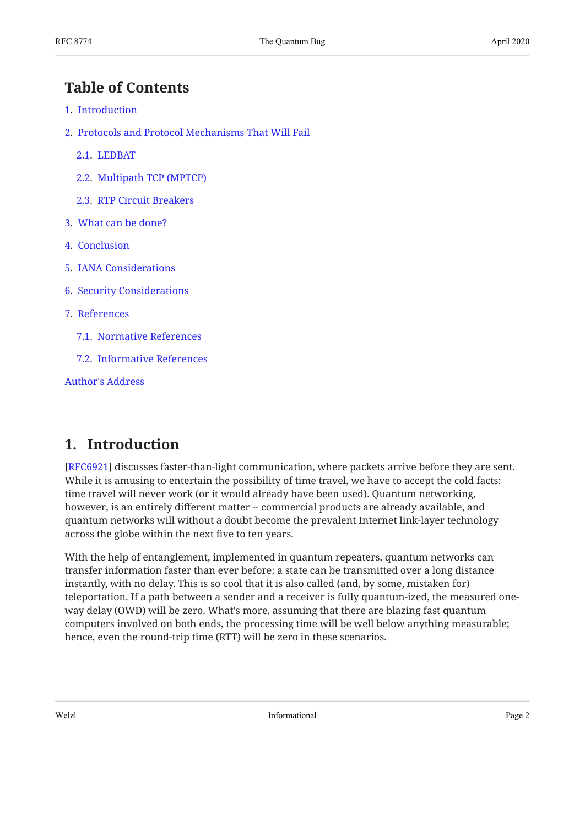### <span id="page-1-0"></span>**[Table of Contents](#page-1-0)**

- [1.](#page-1-1) [Introduction](#page-1-1)
- [2.](#page-2-0) [Protocols and Protocol Mechanisms That Will Fail](#page-2-0)
	- [2.1.](#page-2-1) [LEDBAT](#page-2-1)
	- [2.2.](#page-2-2) [Multipath TCP \(MPTCP\)](#page-2-2)
	- [2.3.](#page-2-3) [RTP Circuit Breakers](#page-2-3)
- [3.](#page-3-0) [What can be done?](#page-3-0)
- [4.](#page-3-1) [Conclusion](#page-3-1)
- [5.](#page-3-2) [IANA Considerations](#page-3-2)
- [6.](#page-4-0) [Security Considerations](#page-4-0)
- [7.](#page-4-1) [References](#page-4-1)
	- [7.1.](#page-4-2) [Normative References](#page-4-2)
	- [7.2.](#page-4-3) [Informative References](#page-4-3)

[Author's Address](#page-5-0)

#### <span id="page-1-1"></span>**[1. Introduction](#page-1-1)**

[[RFC6921\]](#page-4-4) discusses faster-than-light communication, where packets arrive before they are sent. While it is amusing to entertain the possibility of time travel, we have to accept the cold facts: time travel will never work (or it would already have been used). Quantum networking, however, is an entirely different matter -- commercial products are already available, and quantum networks will without a doubt become the prevalent Internet link-layer technology across the globe within the next five to ten years.

With the help of entanglement, implemented in quantum repeaters, quantum networks can transfer information faster than ever before: a state can be transmitted over a long distance instantly, with no delay. This is so cool that it is also called (and, by some, mistaken for) teleportation. If a path between a sender and a receiver is fully quantum-ized, the measured oneway delay (OWD) will be zero. What's more, assuming that there are blazing fast quantum computers involved on both ends, the processing time will be well below anything measurable; hence, even the round-trip time (RTT) will be zero in these scenarios.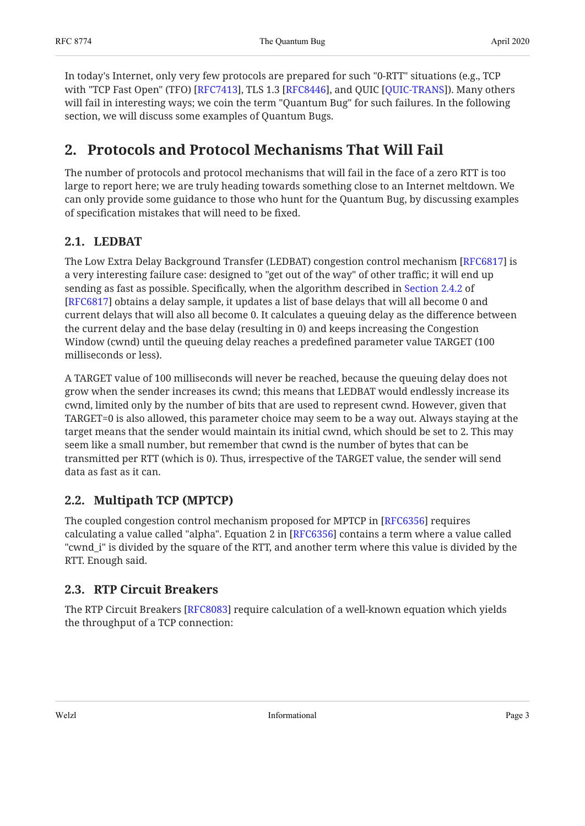In today's Internet, only very few protocols are prepared for such "0-RTT" situations (e.g., TCP with "TCP Fast Open" (TFO) [RFC7413], TLS 1.3 [RFC8446], and QUIC [QUIC-TRANS]). Many others will fail in interesting ways; we coin the term "Quantum Bug" for such failures. In the following section, we will discuss some examples of Quantum Bugs.

### <span id="page-2-0"></span>**[2. Protocols and Protocol Mechanisms That Will Fail](#page-2-0)**

The number of protocols and protocol mechanisms that will fail in the face of a zero RTT is too large to report here; we are truly heading towards something close to an Internet meltdown. We can only provide some guidance to those who hunt for the Quantum Bug, by discussing examples of specification mistakes that will need to be fixed.

#### <span id="page-2-1"></span>**[2.1. LEDBAT](#page-2-1)**

The Low Extra Delay Background Transfer (LEDBAT) congestion control mechanism [RFC6817] is a very interesting failure case: designed to "get out of the way" of other traffic; it will end up sending as fast as possible. Specifically, when the algorithm described in [Section 2.4.2](https://www.rfc-editor.org/rfc/rfc6817#section-2.4.2) of [[RFC6817\]](#page-4-8) obtains a delay sample, it updates a list of base delays that will all become 0 and current delays that will also all become 0. It calculates a queuing delay as the difference between the current delay and the base delay (resulting in 0) and keeps increasing the Congestion Window (cwnd) until the queuing delay reaches a predefined parameter value TARGET (100 milliseconds or less).

A TARGET value of 100 milliseconds will never be reached, because the queuing delay does not grow when the sender increases its cwnd; this means that LEDBAT would endlessly increase its cwnd, limited only by the number of bits that are used to represent cwnd. However, given that TARGET=0 is also allowed, this parameter choice may seem to be a way out. Always staying at the target means that the sender would maintain its initial cwnd, which should be set to 2. This may seem like a small number, but remember that cwnd is the number of bytes that can be transmitted per RTT (which is 0). Thus, irrespective of the TARGET value, the sender will send data as fast as it can.

#### <span id="page-2-2"></span>**[2.2. Multipath TCP \(MPTCP\)](#page-2-2)**

The coupled congestion control mechanism proposed for MPTCP in [RFC6356] requires calculating a value called "alpha". Equation 2 in  $[RFC6356]$  contains a term where a value called "cwnd\_i" is divided by the square of the RTT, and another term where this value is divided by the RTT. Enough said.

#### <span id="page-2-3"></span>**[2.3. RTP Circuit Breakers](#page-2-3)**

The RTP Circuit Breakers [RFC8083] require calculation of a well-known equation which yields the throughput of a TCP connection: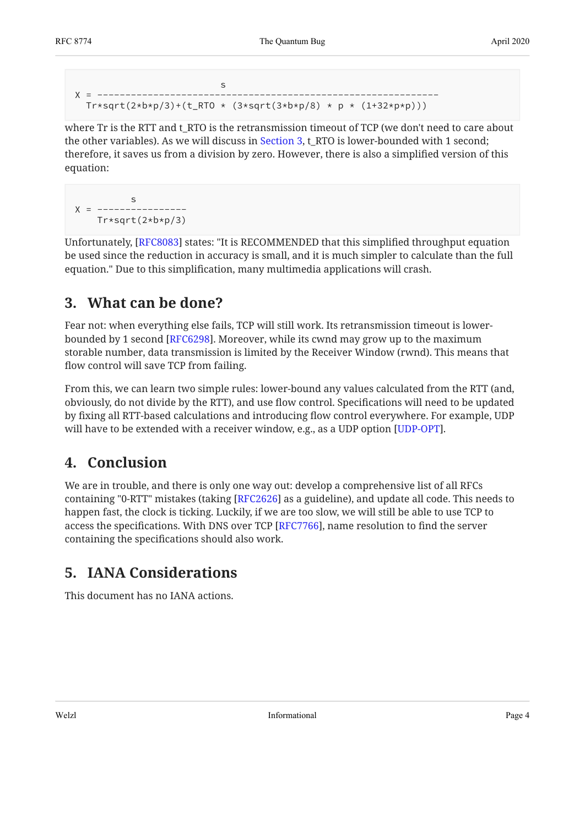```
state and the state of the state of the state of the state of the state of the state of the state of the state of the state of the state of the state of the state of the state of the state of the state of the state of the 
X = -------------------------------------------------------------
    Tr*sqrt(2*b*p/3)+(t_RTO * (3*sqrt(3*b*p/8) * p * (1+32*p*p)))
```
where Tr is the RTT and t\_RTO is the retransmission timeout of TCP (we don't need to care about the other variables). As we will discuss in [Section 3,](#page-3-0) t\_RTO is lower-bounded with 1 second; therefore, it saves us from a division by zero. However, there is also a simplified version of this equation:

```
s and the state of the state of the state of the state of the state of the state of the state of the state of the state of the state of the state of the state of the state of the state of the state of the state of the stat
Y = --- Tr*sqrt(2*b*p/3)
```
Unfortunately, [RFC8083] states: "It is RECOMMENDED that this simplified throughput equation be used since the reduction in accuracy is small, and it is much simpler to calculate than the full equation." Due to this simplification, many multimedia applications will crash.

## <span id="page-3-0"></span>**[3. What can be done?](#page-3-0)**

Fear not: when everything else fails, TCP will still work. Its retransmission timeout is lower-bounded by 1 second [[RFC6298\]](#page-4-11). Moreover, while its cwnd may grow up to the maximum storable number, data transmission is limited by the Receiver Window (rwnd). This means that flow control will save TCP from failing.

From this, we can learn two simple rules: lower-bound any values calculated from the RTT (and, obviously, do not divide by the RTT), and use flow control. Specifications will need to be updated by fixing all RTT-based calculations and introducing flow control everywhere. For example, UDP will have to be extended with a receiver window, e.g., as a UDP option [UDP-OPT].  $\,$ 

## <span id="page-3-1"></span>**[4. Conclusion](#page-3-1)**

We are in trouble, and there is only one way out: develop a comprehensive list of all RFCs containing "0-RTT" mistakes (taking [RFC2626] as a guideline), and update all code. This needs to happen fast, the clock is ticking. Luckily, if we are too slow, we will still be able to use TCP to access the specifications. With DNS over TCP [[RFC7766\]](#page-4-13), name resolution to find the server containing the specifications should also work.

## <span id="page-3-2"></span>**[5. IANA Considerations](#page-3-2)**

This document has no IANA actions.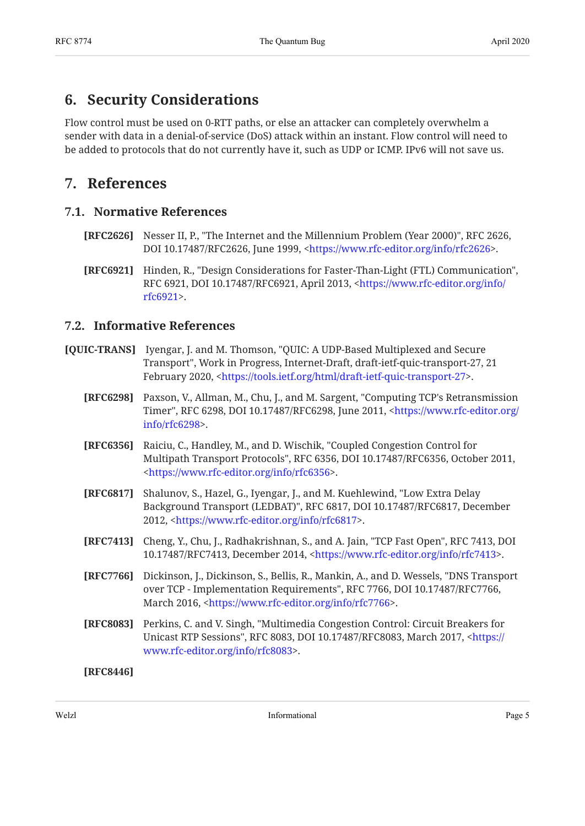#### <span id="page-4-0"></span>**[6. Security Considerations](#page-4-0)**

Flow control must be used on 0-RTT paths, or else an attacker can completely overwhelm a sender with data in a denial-of-service (DoS) attack within an instant. Flow control will need to be added to protocols that do not currently have it, such as UDP or ICMP. IPv6 will not save us.

#### <span id="page-4-2"></span><span id="page-4-1"></span>**[7. References](#page-4-1)**

#### **[7.1. Normative References](#page-4-2)**

- <span id="page-4-12"></span>**[RFC2626]** Nesser II, P., "The Internet and the Millennium Problem (Year 2000)", RFC 2626, DOI 10.17487/RFC2626, June 1999, <https://www.rfc-editor.org/info/rfc2626>.
- <span id="page-4-4"></span>**[RFC6921]** Hinden, R., "Design Considerations for Faster-Than-Light (FTL) Communication", RFC 6921, DOI 10.17487/RFC6921, April 2013, <[https://www.rfc-editor.org/info/](https://www.rfc-editor.org/info/rfc6921) . [rfc6921>](https://www.rfc-editor.org/info/rfc6921)

#### <span id="page-4-3"></span>**[7.2. Informative References](#page-4-3)**

- <span id="page-4-11"></span><span id="page-4-9"></span><span id="page-4-8"></span><span id="page-4-7"></span>**[QUIC-TRANS]** Iyengar, J. and M. Thomson, "QUIC: A UDP-Based Multiplexed and Secure Transport", Work in Progress, Internet-Draft, draft-ietf-quic-transport-27, 21 February 2020, <[https://tools.ietf.org/html/draft-ietf-quic-transport-27>](https://tools.ietf.org/html/draft-ietf-quic-transport-27).
	- **[RFC6298]** Paxson, V., Allman, M., Chu, J., and M. Sargent, "Computing TCP's Retransmission Timer", RFC 6298, DOI 10.17487/RFC6298, June 2011, [<https://www.rfc-editor.org/](https://www.rfc-editor.org/info/rfc6298) . [info/rfc6298>](https://www.rfc-editor.org/info/rfc6298)
	- **[RFC6356]** Raiciu, C., Handley, M., and D. Wischik, "Coupled Congestion Control for Multipath Transport Protocols", RFC 6356, DOI 10.17487/RFC6356, October 2011, . [<https://www.rfc-editor.org/info/rfc6356](https://www.rfc-editor.org/info/rfc6356)>
	- **[RFC6817]** Shalunov, S., Hazel, G., Iyengar, J., and M. Kuehlewind, "Low Extra Delay Background Transport (LEDBAT)", RFC 6817, DOI 10.17487/RFC6817, December 2012, <https://www.rfc-editor.org/info/rfc6817>.
	- **[RFC7413]** Cheng, Y., Chu, J., Radhakrishnan, S., and A. Jain, "TCP Fast Open", RFC 7413, DOI 10.17487/RFC7413, December 2014, <[https://www.rfc-editor.org/info/rfc7413>](https://www.rfc-editor.org/info/rfc7413).
	- **[RFC7766]** , Dickinson, J., Dickinson, S., Bellis, R., Mankin, A., and D. Wessels "DNS Transport over TCP - Implementation Requirements", RFC 7766, DOI 10.17487/RFC7766, March 2016, <https://www.rfc-editor.org/info/rfc7766>.
	- **[RFC8083]** Perkins, C. and V. Singh, "Multimedia Congestion Control: Circuit Breakers for Unicast RTP Sessions", RFC 8083, DOI 10.17487/RFC8083, March 2017, <[https://](https://www.rfc-editor.org/info/rfc8083) . [www.rfc-editor.org/info/rfc8083>](https://www.rfc-editor.org/info/rfc8083)

<span id="page-4-13"></span><span id="page-4-10"></span><span id="page-4-6"></span><span id="page-4-5"></span>**[RFC8446]**